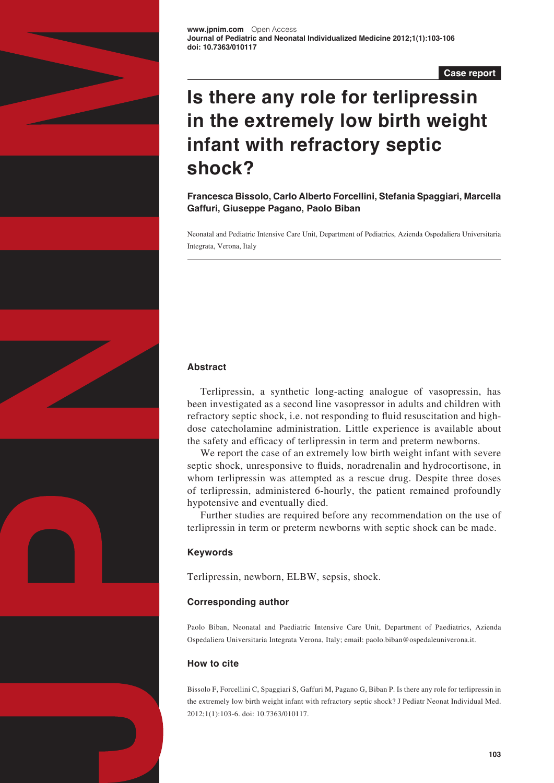

**Case report**

# **Is there any role for terlipressin in the extremely low birth weight infant with refractory septic shock?**

**Francesca Bissolo, Carlo Alberto Forcellini, Stefania Spaggiari, Marcella Gaffuri, Giuseppe Pagano, Paolo Biban**

Neonatal and Pediatric Intensive Care Unit, Department of Pediatrics, Azienda Ospedaliera Universitaria Integrata, Verona, Italy

# **Abstract**

Terlipressin, a synthetic long-acting analogue of vasopressin, has been investigated as a second line vasopressor in adults and children with refractory septic shock, i.e. not responding to fluid resuscitation and highdose catecholamine administration. Little experience is available about the safety and efficacy of terlipressin in term and preterm newborns.

We report the case of an extremely low birth weight infant with severe septic shock, unresponsive to fluids, noradrenalin and hydrocortisone, in whom terlipressin was attempted as a rescue drug. Despite three doses of terlipressin, administered 6-hourly, the patient remained profoundly hypotensive and eventually died.

Further studies are required before any recommendation on the use of terlipressin in term or preterm newborns with septic shock can be made.

# **Keywords**

Terlipressin, newborn, ELBW, sepsis, shock.

# **Corresponding author**

Paolo Biban, Neonatal and Paediatric Intensive Care Unit, Department of Paediatrics, Azienda Ospedaliera Universitaria Integrata Verona, Italy; email: [paolo.biban@ospedaleuniverona.it.](mailto:paolo.biban@ospedaleuniverona.it)

# **How to cite**

Bissolo F, Forcellini C, Spaggiari S, Gaffuri M, Pagano G, Biban P. Is there any role for terlipressin in the extremely low birth weight infant with refractory septic shock? J Pediatr Neonat Individual Med. 2012;1(1):103-6. doi: 10.7363/010117.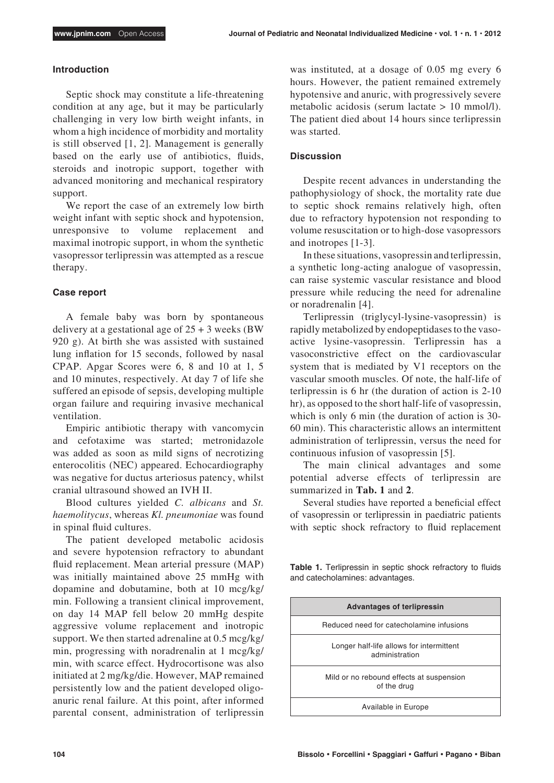#### **Introduction**

Septic shock may constitute a life-threatening condition at any age, but it may be particularly challenging in very low birth weight infants, in whom a high incidence of morbidity and mortality is still observed [1, 2]. Management is generally based on the early use of antibiotics, fluids, steroids and inotropic support, together with advanced monitoring and mechanical respiratory support.

We report the case of an extremely low birth weight infant with septic shock and hypotension, unresponsive to volume replacement and maximal inotropic support, in whom the synthetic vasopressor terlipressin was attempted as a rescue therapy.

## **Case report**

A female baby was born by spontaneous delivery at a gestational age of  $25 + 3$  weeks (BW) 920 g). At birth she was assisted with sustained lung inflation for 15 seconds, followed by nasal CPAP. Apgar Scores were 6, 8 and 10 at 1, 5 and 10 minutes, respectively. At day 7 of life she suffered an episode of sepsis, developing multiple organ failure and requiring invasive mechanical ventilation.

Empiric antibiotic therapy with vancomycin and cefotaxime was started; metronidazole was added as soon as mild signs of necrotizing enterocolitis (NEC) appeared. Echocardiography was negative for ductus arteriosus patency, whilst cranial ultrasound showed an IVH II.

Blood cultures yielded *C. albicans* and *St. haemolitycus*, whereas *Kl. pneumoniae* was found in spinal fluid cultures.

The patient developed metabolic acidosis and severe hypotension refractory to abundant fluid replacement. Mean arterial pressure (MAP) was initially maintained above 25 mmHg with dopamine and dobutamine, both at 10 mcg/kg/ min. Following a transient clinical improvement, on day 14 MAP fell below 20 mmHg despite aggressive volume replacement and inotropic support. We then started adrenaline at 0.5 mcg/kg/ min, progressing with noradrenalin at 1 mcg/kg/ min, with scarce effect. Hydrocortisone was also initiated at 2 mg/kg/die. However, MAP remained persistently low and the patient developed oligoanuric renal failure. At this point, after informed parental consent, administration of terlipressin was instituted, at a dosage of 0.05 mg every 6 hours. However, the patient remained extremely hypotensive and anuric, with progressively severe metabolic acidosis (serum lactate > 10 mmol/l). The patient died about 14 hours since terlipressin was started.

## **Discussion**

Despite recent advances in understanding the pathophysiology of shock, the mortality rate due to septic shock remains relatively high, often due to refractory hypotension not responding to volume resuscitation or to high-dose vasopressors and inotropes [1-3].

In these situations, vasopressin and terlipressin, a synthetic long-acting analogue of vasopressin, can raise systemic vascular resistance and blood pressure while reducing the need for adrenaline or noradrenalin [4].

Terlipressin (triglycyl-lysine-vasopressin) is rapidly metabolized by endopeptidases to the vasoactive lysine-vasopressin. Terlipressin has a vasoconstrictive effect on the cardiovascular system that is mediated by V1 receptors on the vascular smooth muscles. Of note, the half-life of terlipressin is 6 hr (the duration of action is 2-10 hr), as opposed to the short half-life of vasopressin, which is only 6 min (the duration of action is 30- 60 min). This characteristic allows an intermittent administration of terlipressin, versus the need for continuous infusion of vasopressin [5].

The main clinical advantages and some potential adverse effects of terlipressin are summarized in **Tab. 1** and **2**.

Several studies have reported a beneficial effect of vasopressin or terlipressin in paediatric patients with septic shock refractory to fluid replacement

**Table 1.** Terlipressin in septic shock refractory to fluids and catecholamines: advantages.

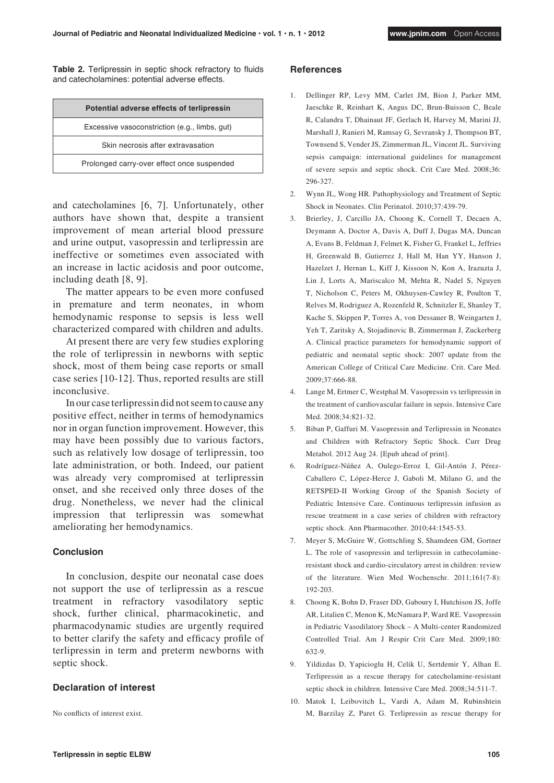**Table 2.** Terlipressin in septic shock refractory to fluids and catecholamines: potential adverse effects.

| Potential adverse effects of terlipressin     |
|-----------------------------------------------|
| Excessive vasoconstriction (e.g., limbs, gut) |
| Skin necrosis after extravasation             |
| Prolonged carry-over effect once suspended    |

and catecholamines [6, 7]. Unfortunately, other authors have shown that, despite a transient improvement of mean arterial blood pressure and urine output, vasopressin and terlipressin are ineffective or sometimes even associated with an increase in lactic acidosis and poor outcome, including death [8, 9].

The matter appears to be even more confused in premature and term neonates, in whom hemodynamic response to sepsis is less well characterized compared with children and adults.

At present there are very few studies exploring the role of terlipressin in newborns with septic shock, most of them being case reports or small case series [10-12]. Thus, reported results are still inconclusive.

In our case terlipressin did not seem to cause any positive effect, neither in terms of hemodynamics nor in organ function improvement. However, this may have been possibly due to various factors, such as relatively low dosage of terlipressin, too late administration, or both. Indeed, our patient was already very compromised at terlipressin onset, and she received only three doses of the drug. Nonetheless, we never had the clinical impression that terlipressin was somewhat ameliorating her hemodynamics.

#### **Conclusion**

In conclusion, despite our neonatal case does not support the use of terlipressin as a rescue treatment in refractory vasodilatory septic shock, further clinical, pharmacokinetic, and pharmacodynamic studies are urgently required to better clarify the safety and efficacy profile of terlipressin in term and preterm newborns with septic shock.

## **Declaration of interest**

No conflicts of interest exist.

#### **References**

- 1. Dellinger RP, Levy MM, Carlet JM, Bion J, Parker MM, Jaeschke R, Reinhart K, Angus DC, Brun-Buisson C, Beale R, Calandra T, Dhainaut JF, Gerlach H, Harvey M, Marini JJ, Marshall J, Ranieri M, Ramsay G, Sevransky J, Thompson BT, Townsend S, Vender JS, Zimmerman JL, Vincent JL. Surviving sepsis campaign: international guidelines for management of severe sepsis and septic shock. Crit Care Med. 2008;36: 296-327.
- 2. Wynn JL, Wong HR. Pathophysiology and Treatment of Septic Shock in Neonates. Clin Perinatol. 2010;37:439-79.
- 3. Brierley, J, Carcillo JA, Choong K, Cornell T, Decaen A, Deymann A, Doctor A, Davis A, Duff J, Dugas MA, Duncan A, Evans B, Feldman J, Felmet K, Fisher G, Frankel L, Jeffries H, Greenwald B, Gutierrez J, Hall M, Han YY, Hanson J, Hazelzet J, Hernan L, Kiff J, Kissoon N, Kon A, Irazuzta J, Lin J, Lorts A, Mariscalco M, Mehta R, Nadel S, Nguyen T, Nicholson C, Peters M, Okhuysen-Cawley R, Poulton T, Relves M, Rodriguez A, Rozenfeld R, Schnitzler E, Shanley T, Kache S, Skippen P, Torres A, von Dessauer B, Weingarten J, Yeh T, Zaritsky A, Stojadinovic B, Zimmerman J, Zuckerberg A. Clinical practice parameters for hemodynamic support of pediatric and neonatal septic shock: 2007 update from the American College of Critical Care Medicine. Crit. Care Med. 2009;37:666-88.
- 4. Lange M, Ertmer C, Westphal M. Vasopressin vs terlipressin in the treatment of cardiovascular failure in sepsis. Intensive Care Med. 2008;34:821-32.
- 5. Biban P, Gaffuri M. Vasopressin and Terlipressin in Neonates and Children with Refractory Septic Shock. Curr Drug Metabol. 2012 Aug 24. [Epub ahead of print].
- 6. Rodríguez-Núñez A, Oulego-Erroz I, Gil-Antón J, Pérez-Caballero C, López-Herce J, Gaboli M, Milano G, and the RETSPED-II Working Group of the Spanish Society of Pediatric Intensive Care. Continuous terlipressin infusion as rescue treatment in a case series of children with refractory septic shock. Ann Pharmacother. 2010;44:1545-53.
- 7. Meyer S, McGuire W, Gottschling S, Shamdeen GM, Gortner L. The role of vasopressin and terlipressin in cathecolamineresistant shock and cardio-circulatory arrest in children: review of the literature. Wien Med Wochenschr. 2011;161(7-8): 192-203.
- 8. Choong K, Bohn D, Fraser DD, Gaboury I, Hutchison JS, Joffe AR, Litalien C, Menon K, McNamara P, Ward RE. Vasopressin in Pediatric Vasodilatory Shock – A Multi-center Randomized Controlled Trial. Am J Respir Crit Care Med. 2009;180: 632-9.
- 9. Yildizdas D, Yapicioglu H, Celik U, Sertdemir Y, Alhan E. Terlipressin as a rescue therapy for catecholamine-resistant septic shock in children. Intensive Care Med. 2008;34:511-7.
- 10. Matok I, Leibovitch L, Vardi A, Adam M, Rubinshtein M, Barzilay Z, Paret G. Terlipressin as rescue therapy for